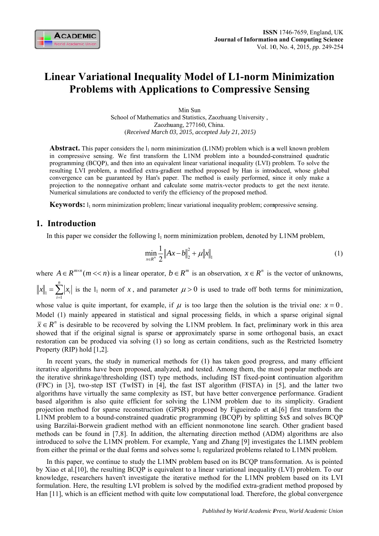

# **Linear Variational Inequality Model of L1-norm Minimization Problems with Applications to Compressive Sensing**

Min Sun School of Mathematics and Statistics, Zaozhuang University, Zaozhuang, 277160, China. (Received March 03, 2015, accepted July 21, 2015)

**Abstract.** This paper considers the  $l_1$  norm minimization (L1NM) problem which is a well known problem in compressive sensing. We first transform the L1NM problem into a bounded-constrained quadratic programming (BCQP), and then into an equivalent linear variational inequality (LVI) problem. To solve the resulting LVI problem, a modified extra-gradient method proposed by Han is introduced, whose global convergence can be guaranteed by Han's paper. The method is easily performed, since it only make a projection to the nonnegative orthant and calculate some matrix-vector products to get the next iterate. Numerical simulations are conducted to verify the efficiency of the proposed method.

**Keywords:**  $l_1$  norm minimization problem; linear variational inequality problem; compressive sensing.

## 1. Introduction

In this paper we consider the following  $l_1$  norm minimization problem, denoted by L1NM problem,

$$
\min_{x \in R^n} \frac{1}{2} \|Ax - b\|_2^2 + \mu \|x\|_1 \tag{1}
$$

where  $A \in R^{m \times n}$  ( $m \ll n$ ) is a linear operator,  $b \in R^m$  is an observation,  $x \in R^n$  is the vector of unknowns,  $||x||_1 = \sum_{i=1}^{n} |x_i|$  is the  $1_1$  norm of x, and parameter  $\mu > 0$  is used to trade off both terms for minimization,

whose value is quite important, for example, if  $\mu$  is too large then the solution is the trivial one:  $x = 0$ . Model (1) mainly appeared in statistical and signal processing fields, in which a sparse original signal  $\bar{x} \in R^n$  is desirable to be recovered by solving the L1NM problem. In fact, preliminary work in this area showed that if the original signal is sparse or approximately sparse in some orthogonal basis, an exact restoration can be produced via solving (1) so long as certain conditions, such as the Restricted Isometry Property (RIP) hold  $[1,2]$ .

In recent years, the study in numerical methods for  $(1)$  has taken good progress, and many efficient iterative algorithms have been proposed, analyzed, and tested. Among them, the most popular methods are the iterative shrinkage/thresholding (IST) type methods, including IST fixed-point continuation algorithm (FPC) in [3], two-step IST (TwIST) in [4], the fast IST algorithm (FISTA) in [5], and the latter two algorithms have virtually the same complexity as IST, but have better convergence performance. Gradient based algorithm is also quite efficient for solving the L1NM problem due to its simplicity. Gradient projection method for sparse reconstruction (GPSR) proposed by Figueiredo et al. [6] first transform the L1NM problem to a bound-constrained quadratic programming (BCQP) by splitting \$x\$ and solves BCQP using Barzilai-Borwein gradient method with an efficient nonmonotone line search. Other gradient based methods can be found in [7,8]. In addition, the alternating direction method (ADM) algorithms are also introduced to solve the L1MN problem. For example, Yang and Zhang [9] investigates the L1MN problem from either the primal or the dual forms and solves some l<sub>1</sub> regularized problems related to L1MN problem.

In this paper, we continue to study the L1MN problem based on its BCQP transformation. As is pointed by Xiao et al. [10], the resulting BCQP is equivalent to a linear variational inequality (LVI) problem. To our knowledge, researchers haven't investigate the iterative method for the L1MN problem based on its LVI formulation. Here, the resulting LVI problem is solved by the modified extra-gradient method proposed by Han [11], which is an efficient method with quite low computational load. Therefore, the global convergence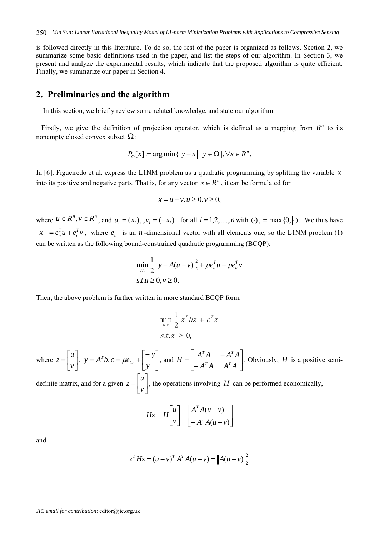is followed directly in this literature. To do so, the rest of the paper is organized as follows. Section 2, we summarize some basic definitions used in the paper, and list the steps of our algorithm. In Section 3, we present and analyze the experimental results, which indicate that the proposed algorithm is quite efficient. Finally, we summarize our paper in Section 4.

### **2. Preliminaries and the algorithm**

In this section, we briefly review some related knowledge, and state our algorithm.

Firstly, we give the definition of projection operator, which is defined as a mapping from  $R<sup>n</sup>$  to its nonempty closed convex subset  $\Omega$ :

$$
P_{\Omega}[x] \coloneqq \arg\min \{ ||y - x|| \mid y \in \Omega \mid, \forall x \in R^{n}.
$$

In [6], Figueiredo et al. express the L1NM problem as a quadratic programming by splitting the variable *x* into its positive and negative parts. That is, for any vector  $x \in \mathbb{R}^n$ , it can be formulated for

$$
x = u - v, u \ge 0, v \ge 0,
$$

where  $u \in R^n$ ,  $v \in R^n$ , and  $u_i = (x_i)_+, v_i = (-x_i)_+$  for all  $i = 1, 2, ..., n$  with  $(\cdot)_+ = \max\{0, |\cdot|\}$ . We thus have  $||x||_1 = e_n^T u + e_n^T v$  $n_1 = e_n^T u + e_n^T v$ , where  $e_n$  is an *n*-dimensional vector with all elements one, so the L1NM problem (1) can be written as the following bound-constrained quadratic programming (BCQP):

$$
\min_{u,v} \frac{1}{2} \|y - A(u - v)\|_2^2 + \mu e_n^T u + \mu e_n^T v
$$
  
s.t.u \ge 0, v \ge 0.

Then, the above problem is further written in more standard BCQP form:

$$
\min_{u,v} \frac{1}{2} z^T Hz + c^T z
$$
  
s.t.  $z \ge 0$ ,

where  $z = \begin{pmatrix} 1 \\ 1 \end{pmatrix}$  $\overline{\phantom{a}}$  $\overline{\phantom{a}}$  $\mathsf{I}$  $=\begin{bmatrix} u \\ v \end{bmatrix}$  $z = \begin{bmatrix} 1 \\ 1 \end{bmatrix}$ ,  $y = A^T b$ ,  $c = \mu e_{2n} + \begin{bmatrix} 1 \\ 1 \end{bmatrix}$  $\rfloor$  $\left| \begin{array}{c} -y \\ y \end{array} \right|$ L  $= A^T b, c = \mu e_{2n} + \begin{bmatrix} -b & -b \\ -c & -b \end{bmatrix}$ *y y*  $y = A^T b$ ,  $c = \mu e_{2n} + \begin{vmatrix} y \\ y \end{vmatrix}$ , and  $H = \begin{vmatrix} A & A & -A & A \\ A^T A & A^T A \end{vmatrix}$  $\overline{\phantom{a}}$  $\begin{vmatrix} A^T A & -A^T A \\ A^T A & A^T A \end{vmatrix}$ L  $\overline{\phantom{a}}$  $H = \begin{bmatrix} A^T A & -A^T A \\ -A^T A & A^T A \end{bmatrix}$  $T_A$   $A^T$ . Obviously, *H* is a positive semi-

definite matrix, and for a given  $z = \begin{bmatrix} 1 \\ 1 \end{bmatrix}$  $\overline{\phantom{a}}$  $\overline{\phantom{a}}$  $\mathsf{I}$  $=\begin{bmatrix} u \\ v \end{bmatrix}$  $z = \begin{bmatrix} 1 \end{bmatrix}$ , the operations involving *H* can be performed economically,

$$
Hz = H\begin{bmatrix} u \\ v \end{bmatrix} = \begin{bmatrix} A^T A(u-v) \\ -A^T A(u-v) \end{bmatrix}
$$

and

$$
z^{T} H z = (u - v)^{T} A^{T} A (u - v) = ||A (u - v)||_{2}^{2}.
$$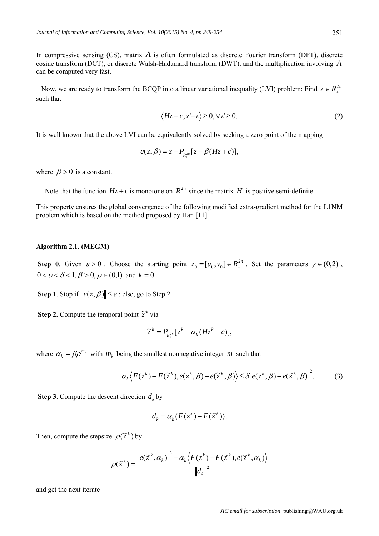In compressive sensing (CS), matrix *A* is often formulated as discrete Fourier transform (DFT), discrete cosine transform (DCT), or discrete Walsh-Hadamard transform (DWT), and the multiplication involving *A* can be computed very fast.

Now, we are ready to transform the BCQP into a linear variational inequality (LVI) problem: Find  $z \in R^{2n}$ such that

$$
\langle Hz + c, z' - z \rangle \ge 0, \forall z' \ge 0. \tag{2}
$$

It is well known that the above LVI can be equivalently solved by seeking a zero point of the mapping

$$
e(z,\beta) = z - P_{R_+^{2n}}[z - \beta(Hz + c)],
$$

where  $\beta > 0$  is a constant.

Note that the function  $Hz + c$  is monotone on  $R^{2n}$  since the matrix *H* is positive semi-definite.

This property ensures the global convergence of the following modified extra-gradient method for the L1NM problem which is based on the method proposed by Han [11].

#### **Algorithm 2.1. (MEGM)**

**Step 0**. Given  $\varepsilon > 0$ . Choose the starting point  $z_0 = [u_0, v_0] \in R_+^{2n}$ . Set the parameters  $\gamma \in (0,2)$ ,  $0 < v < \delta < 1, \beta > 0, \rho \in (0,1)$  and  $k = 0$ .

**Step 1**. Stop if  $||e(z, \beta)|| \leq \varepsilon$ ; else, go to Step 2.

**Step 2.** Compute the temporal point  $\tilde{z}^k$  via

$$
\widetilde{z}^k = P_{R_{+}^{2n}}[z^k - \alpha_k(Hz^k + c)],
$$

where  $\alpha_k = \beta \rho^{m_k}$  with  $m_k$  being the smallest nonnegative integer *m* such that

$$
\alpha_k \langle F(z^k) - F(\tilde{z}^k), e(z^k, \beta) - e(\tilde{z}^k, \beta) \rangle \leq \delta \bigg\| e(z^k, \beta) - e(\tilde{z}^k, \beta) \bigg\|^2. \tag{3}
$$

**Step 3**. Compute the descent direction  $d_k$  by

$$
d_k = \alpha_k (F(z^k) - F(\tilde{z}^k)).
$$

Then, compute the stepsize  $\rho(\tilde{z}^k)$  by

$$
\rho(\widetilde{z}^k) = \frac{\left\|e(\widetilde{z}^k, \alpha_k)\right\|^2 - \alpha_k \left\langle F(z^k) - F(\widetilde{z}^k), e(\widetilde{z}^k, \alpha_k)\right\rangle}{\left\|d_k\right\|^2}
$$

and get the next iterate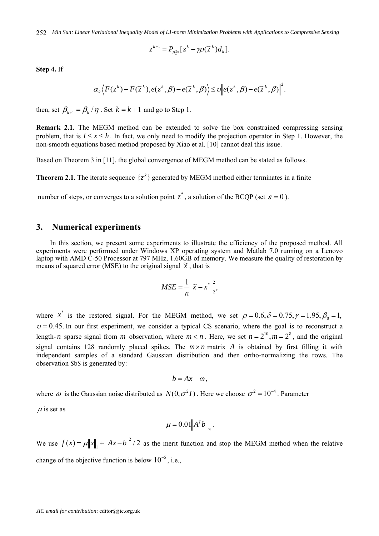*Min Sun: Linear Variational Inequality Model of L1-norm Minimization Problems with Applications to Compressive Sensing*  252

$$
z^{k+1} = P_{R_+^{2n}}[z^k - \gamma \rho(\widetilde{z}^k) d_k].
$$

**Step 4.** If

$$
\alpha_k \Big\langle F(z^k) - F(\widetilde{z}^k), e(z^k, \beta) - e(\widetilde{z}^k, \beta) \Big\rangle \leq v \Big\| e(z^k, \beta) - e(\widetilde{z}^k, \beta) \Big\|^2.
$$

then, set  $\beta_{k+1} = \beta_k / \eta$ . Set  $k = k+1$  and go to Step 1.

**Remark 2.1.** The MEGM method can be extended to solve the box constrained compressing sensing problem, that is  $l \le x \le h$ . In fact, we only need to modify the projection operator in Step 1. However, the non-smooth equations based method proposed by Xiao et al. [10] cannot deal this issue.

Based on Theorem 3 in [11], the global convergence of MEGM method can be stated as follows.

**Theorem 2.1.** The iterate sequence  $\{z^k\}$  generated by MEGM method either terminates in a finite

number of steps, or converges to a solution point  $z^*$ , a solution of the BCQP (set  $\varepsilon = 0$ ).

## **3. Numerical experiments**

In this section, we present some experiments to illustrate the efficiency of the proposed method. All experiments were performed under Windows XP operating system and Matlab 7.0 running on a Lenovo laptop with AMD C-50 Processor at 797 MHz, 1.60GB of memory. We measure the quality of restoration by means of squared error (MSE) to the original signal  $\tilde{x}$ , that is

$$
MSE = \frac{1}{n} \left\| \widetilde{x} - x^* \right\|_2^2,
$$

where x<sup>\*</sup> is the restored signal. For the MEGM method, we set  $\rho = 0.6, \delta = 0.75, \gamma = 1.95, \beta_0 = 1$ ,  $v = 0.45$ . In our first experiment, we consider a typical CS scenario, where the goal is to reconstruct a length-*n* sparse signal from *m* observation, where  $m < n$ . Here, we set  $n = 2^{10}$ ,  $m = 2^8$ , and the original signal contains 128 randomly placed spikes. The  $m \times n$  matrix *A* is obtained by first filling it with independent samples of a standard Gaussian distribution and then ortho-normalizing the rows. The observation \$b\$ is generated by:

$$
b=Ax+\omega,
$$

where  $\omega$  is the Gaussian noise distributed as  $N(0, \sigma^2 I)$ . Here we choose  $\sigma^2 = 10^{-4}$ . Parameter

 $\mu$  is set as

$$
\mu = 0.01 \|A^T b\|_{\infty}.
$$

We use  $f(x) = \mu ||x||_1 + ||Ax - b||^2 / 2$  as the merit function and stop the MEGM method when the relative change of the objective function is below  $10^{-5}$ , i.e.,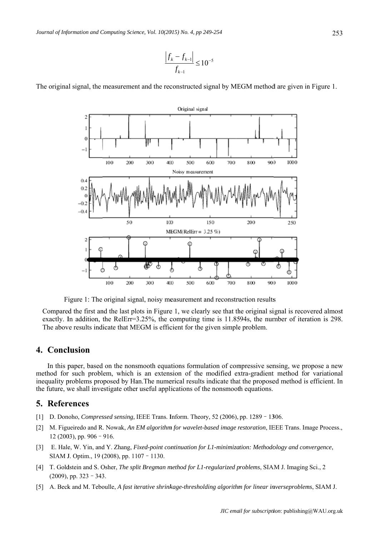$$
\frac{\left|f_k - f_{k-1}\right|}{f_{k-1}} \le 10^{-5}
$$

The original signal, the measurement and the reconstructed signal by MEGM method are given in Figure 1.



Figure 1: The original signal, noisy measurement and reconstruction results

Compared the first and the last plots in Figure 1, we clearly see that the original signal is recovered almost exactly. In addition, the RelErr=3.25%, the computing time is 11.8594s, the number of iteration is 298. The above results indicate that MEGM is efficient for the given simple problem.

## 4. Conclusion

In this paper, based on the nonsmooth equations formulation of compressive sensing, we propose a new method for such problem, which is an extension of the modified extra-gradient method for variational inequality problems proposed by Han. The numerical results indicate that the proposed method is efficient. In the future, we shall investigate other useful applications of the nonsmooth equations.

## **5. References**

- [1] D. Donoho, Compressed sensing, IEEE Trans. Inform. Theory, 52 (2006), pp. 1289 1306.
- [2] M. Figueiredo and R. Nowak, An EM algorithm for wavelet-based image restoration, IEEE Trans. Image Process., 12 (2003), pp. 906 - 916.
- [3] E. Hale, W. Yin, and Y. Zhang, Fixed-point continuation for L1-minimization: Methodology and convergence, SIAM J. Optim., 19 (2008), pp. 1107 - 1130.
- [4] T. Goldstein and S. Osher, The split Bregman method for L1-regularized problems, SIAM J. Imaging Sci., 2  $(2009)$ , pp. 323 - 343.
- [5] A. Beck and M. Teboulle, A fast iterative shrinkage-thresholding algorithm for linear inverseproblems, SIAM J.

253